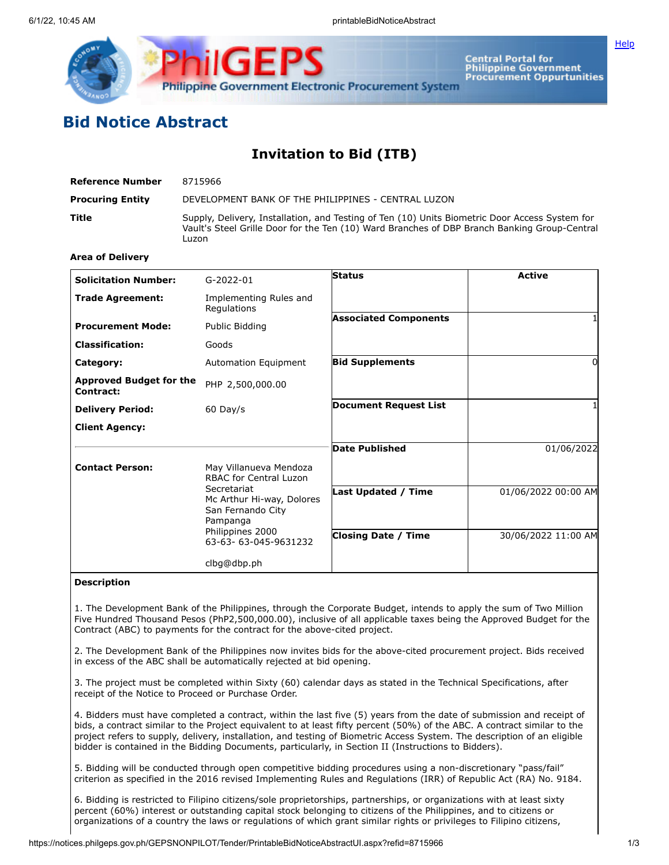

Central Portal for<br>Philippine Government<br>Procurement Oppurtunities

**[Help](javascript:void(window.open()** 

## **Bid Notice Abstract**

## **Invitation to Bid (ITB)**

| Reference Number        | 8715966                                                                                                                                                                                                 |
|-------------------------|---------------------------------------------------------------------------------------------------------------------------------------------------------------------------------------------------------|
| <b>Procuring Entity</b> | DEVELOPMENT BANK OF THE PHILIPPINES - CENTRAL LUZON                                                                                                                                                     |
| Title                   | Supply, Delivery, Installation, and Testing of Ten (10) Units Biometric Door Access System for<br>Vault's Steel Grille Door for the Ten (10) Ward Branches of DBP Branch Banking Group-Central<br>Luzon |

## **Area of Delivery**

| <b>Solicitation Number:</b>                 | $G-2022-01$                                                               | <b>Status</b>                | <b>Active</b>       |
|---------------------------------------------|---------------------------------------------------------------------------|------------------------------|---------------------|
|                                             |                                                                           |                              |                     |
| <b>Trade Agreement:</b>                     | Implementing Rules and<br>Regulations                                     |                              |                     |
| <b>Procurement Mode:</b>                    | Public Bidding                                                            | <b>Associated Components</b> |                     |
| <b>Classification:</b>                      | Goods                                                                     |                              |                     |
| Category:                                   | Automation Equipment                                                      | <b>Bid Supplements</b>       |                     |
| <b>Approved Budget for the</b><br>Contract: | PHP 2,500,000.00                                                          |                              |                     |
| <b>Delivery Period:</b>                     | $60$ Day/s                                                                | <b>Document Request List</b> |                     |
| <b>Client Agency:</b>                       |                                                                           |                              |                     |
|                                             |                                                                           | Date Published               | 01/06/2022          |
| <b>Contact Person:</b>                      | May Villanueva Mendoza<br><b>RBAC for Central Luzon</b>                   |                              |                     |
|                                             | Secretariat<br>Mc Arthur Hi-way, Dolores<br>San Fernando City<br>Pampanga | <b>Last Updated / Time</b>   | 01/06/2022 00:00 AM |
|                                             | Philippines 2000<br>63-63-63-045-9631232                                  | <b>Closing Date / Time</b>   | 30/06/2022 11:00 AM |
|                                             | clbg@dbp.ph                                                               |                              |                     |

## **Description**

1. The Development Bank of the Philippines, through the Corporate Budget, intends to apply the sum of Two Million Five Hundred Thousand Pesos (PhP2,500,000.00), inclusive of all applicable taxes being the Approved Budget for the Contract (ABC) to payments for the contract for the above-cited project.

2. The Development Bank of the Philippines now invites bids for the above-cited procurement project. Bids received in excess of the ABC shall be automatically rejected at bid opening.

3. The project must be completed within Sixty (60) calendar days as stated in the Technical Specifications, after receipt of the Notice to Proceed or Purchase Order.

4. Bidders must have completed a contract, within the last five (5) years from the date of submission and receipt of bids, a contract similar to the Project equivalent to at least fifty percent (50%) of the ABC. A contract similar to the project refers to supply, delivery, installation, and testing of Biometric Access System. The description of an eligible bidder is contained in the Bidding Documents, particularly, in Section II (Instructions to Bidders).

5. Bidding will be conducted through open competitive bidding procedures using a non-discretionary "pass/fail" criterion as specified in the 2016 revised Implementing Rules and Regulations (IRR) of Republic Act (RA) No. 9184.

6. Bidding is restricted to Filipino citizens/sole proprietorships, partnerships, or organizations with at least sixty percent (60%) interest or outstanding capital stock belonging to citizens of the Philippines, and to citizens or organizations of a country the laws or regulations of which grant similar rights or privileges to Filipino citizens,